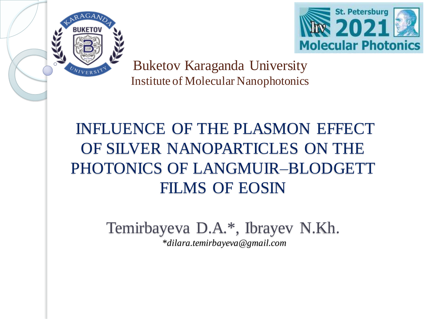



Buketov Karaganda University Institute of Molecular Nanophotonics

### INFLUENCE OF THE PLASMON EFFECT OF SILVER NANOPARTICLES ON THE PHOTONICS OF LANGMUIR–BLODGETT FILMS OF EOSIN

Temirbayeva D.A.\* , Ibrayev N.Kh. *\*dilara.temirbayeva@gmail.com*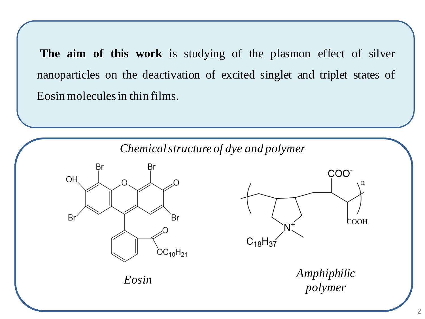**The aim of this work** is studying of the plasmon effect of silver nanoparticles on the deactivation of excited singlet and triplet states of Eosin moleculesin thin films.

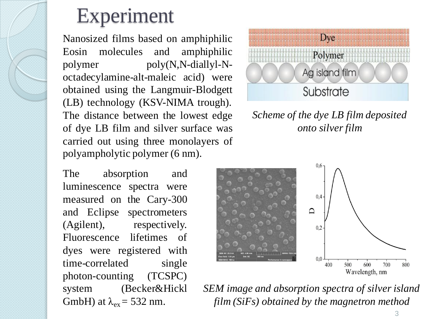### Experiment

Nanosized films based on amphiphilic Eosin molecules and amphiphilic polymer poly(N,N-diallyl-Noctadecylamine-alt-maleic acid) were obtained using the Langmuir-Blodgett (LB) technology (KSV-NIMA trough). The distance between the lowest edge of dye LB film and silver surface was carried out using three monolayers of polyampholytic polymer (6 nm).

The absorption and luminescence spectra were measured on the Cary-300 and Eclipse spectrometers (Agilent), respectively. Fluorescence lifetimes of dyes were registered with time-correlated single photon-counting (TCSPC) system (Becker&Hickl GmbH) at  $\lambda_{ex} = 532$  nm.



*Scheme of the dye LB film deposited onto silver film*



*SEM image and absorption spectra of silver island film (SiFs) obtained by the magnetron method*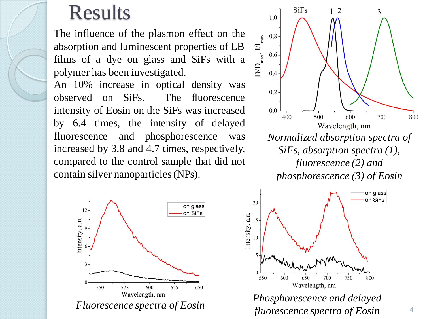### Results

The influence of the plasmon effect on the absorption and luminescent properties of LB films of a dye on glass and SiFs with a polymer has been investigated.

An 10% increase in optical density was observed on SiFs. The fluorescence intensity of Eosin on the SiFs was increased by 6.4 times, the intensity of delayed fluorescence and phosphorescence was increased by 3.8 and 4.7 times, respectively, compared to the control sample that did not contain silver nanoparticles(NPs).







*fluorescence spectra of Eosin*

4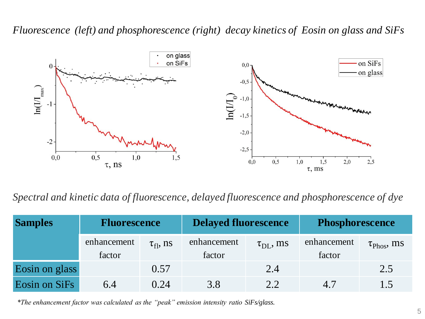#### *Fluorescence (left) and phosphorescence (right) decay kinetics of Eosin on glass and SiFs*



*Spectral and kinetic data of fluorescence, delayed fluorescence and phosphorescence of dye*

| <b>Samples</b> | <b>Fluorescence</b>   |                  | <b>Delayed fluorescence</b> |                         | <b>Phosphorescence</b> |                                 |
|----------------|-----------------------|------------------|-----------------------------|-------------------------|------------------------|---------------------------------|
|                | enhancement<br>factor | $\tau_{fl}$ , ns | enhancement<br>factor       | $\tau_{\text{DI}}$ , ms | enhancement<br>factor  | $\tau_{\text{Phos}}, \text{ms}$ |
| Eosin on glass |                       | 0.57             |                             | 2.4                     |                        | 2.5                             |
| Eosin on SiFs  | 6.4                   | 0.24             | 3.8                         | 2.2                     | 4.7                    | 1.5                             |

*\*The enhancement factor was calculated as the "peak" emission intensity ratio SiFs/glass.*